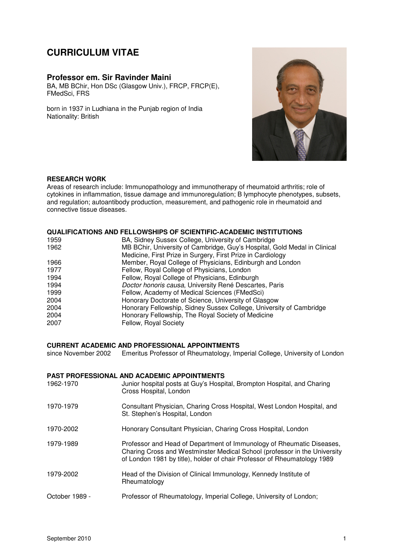# **CURRICULUM VITAE**

## **Professor em. Sir Ravinder Maini**

BA, MB BChir, Hon DSc (Glasgow Univ.), FRCP, FRCP(E), FMedSci, FRS

born in 1937 in Ludhiana in the Punjab region of India Nationality: British



#### **RESEARCH WORK**

Areas of research include: Immunopathology and immunotherapy of rheumatoid arthritis; role of cytokines in inflammation, tissue damage and immunoregulation; B lymphocyte phenotypes, subsets, and regulation; autoantibody production, measurement, and pathogenic role in rheumatoid and connective tissue diseases.

### **QUALIFICATIONS AND FELLOWSHIPS OF SCIENTIFIC-ACADEMIC INSTITUTIONS**

| 1959 | BA, Sidney Sussex College, University of Cambridge                        |
|------|---------------------------------------------------------------------------|
| 1962 | MB BChir, University of Cambridge, Guy's Hospital, Gold Medal in Clinical |
|      | Medicine, First Prize in Surgery, First Prize in Cardiology               |
| 1966 | Member, Royal College of Physicians, Edinburgh and London                 |
| 1977 | Fellow, Royal College of Physicians, London                               |
| 1994 | Fellow, Royal College of Physicians, Edinburgh                            |
| 1994 | Doctor honoris causa, University René Descartes, Paris                    |
| 1999 | Fellow, Academy of Medical Sciences (FMedSci)                             |
| 2004 | Honorary Doctorate of Science, University of Glasgow                      |
| 2004 | Honorary Fellowship, Sidney Sussex College, University of Cambridge       |
| 2004 | Honorary Fellowship, The Royal Society of Medicine                        |
| 2007 | Fellow, Royal Society                                                     |

## **CURRENT ACADEMIC AND PROFESSIONAL APPOINTMENTS**

since November 2002 Emeritus Professor of Rheumatology, Imperial College, University of London

| 1962-1970      | PAST PROFESSIONAL AND ACADEMIC APPOINTMENTS<br>Junior hospital posts at Guy's Hospital, Brompton Hospital, and Charing<br>Cross Hospital, London                                                                               |
|----------------|--------------------------------------------------------------------------------------------------------------------------------------------------------------------------------------------------------------------------------|
| 1970-1979      | Consultant Physician, Charing Cross Hospital, West London Hospital, and<br>St. Stephen's Hospital, London                                                                                                                      |
| 1970-2002      | Honorary Consultant Physician, Charing Cross Hospital, London                                                                                                                                                                  |
| 1979-1989      | Professor and Head of Department of Immunology of Rheumatic Diseases,<br>Charing Cross and Westminster Medical School (professor in the University<br>of London 1981 by title), holder of chair Professor of Rheumatology 1989 |
| 1979-2002      | Head of the Division of Clinical Immunology, Kennedy Institute of<br>Rheumatology                                                                                                                                              |
| October 1989 - | Professor of Rheumatology, Imperial College, University of London;                                                                                                                                                             |